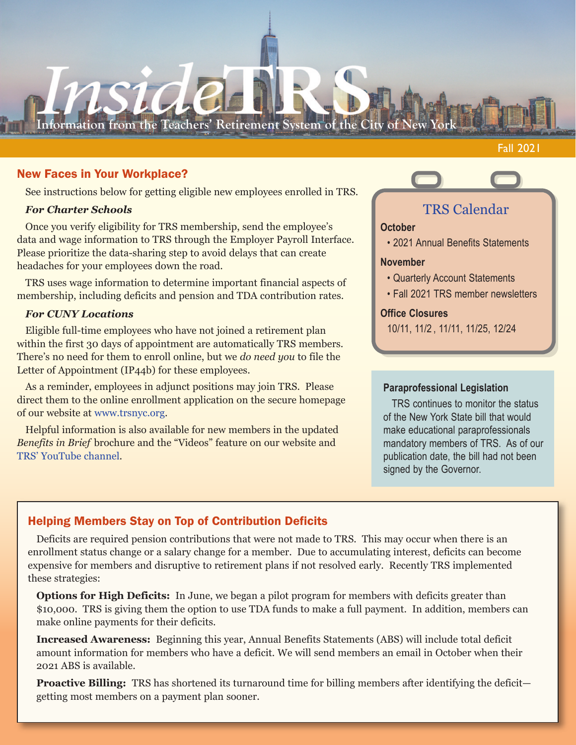# **Information from the Teachers' Retirement System of the City of New**

Fall 2021

### New Faces in Your Workplace?

See instructions below for getting eligible new employees enrolled in TRS.

### *For Charter Schools*

Once you verify eligibility for TRS membership, send the employee's data and wage information to TRS through the Employer Payroll Interface. Please prioritize the data-sharing step to avoid delays that can create headaches for your employees down the road.

TRS uses wage information to determine important financial aspects of membership, including deficits and pension and TDA contribution rates.

### *For CUNY Locations*

Eligible full-time employees who have not joined a retirement plan within the first 30 days of appointment are automatically TRS members. There's no need for them to enroll online, but we *do need you* to file the Letter of Appointment (IP44b) for these employees.

As a reminder, employees in adjunct positions may join TRS. Please direct them to the online enrollment application on the secure homepage of our website at www.trsnyc.org.

Helpful information is also available for new members in the updated *Benefits in Brief* brochure and the "Videos" feature on our website and TRS' YouTube channel.

# TRS Calendar

### **October**

• 2021 Annual Benefits Statements

### **November**

- Quarterly Account Statements
- Fall 2021 TRS member newsletters

### **Office Closures**

10/11, 11/2 , 11/11, 11/25, 12/24

### **Paraprofessional Legislation**

TRS continues to monitor the status of the New York State bill that would make educational paraprofessionals mandatory members of TRS. As of our publication date, the bill had not been signed by the Governor.

## Helping Members Stay on Top of Contribution Deficits

Deficits are required pension contributions that were not made to TRS. This may occur when there is an enrollment status change or a salary change for a member. Due to accumulating interest, deficits can become expensive for members and disruptive to retirement plans if not resolved early. Recently TRS implemented these strategies:

**Options for High Deficits:** In June, we began a pilot program for members with deficits greater than \$10,000. TRS is giving them the option to use TDA funds to make a full payment. In addition, members can make online payments for their deficits.

**Increased Awareness:** Beginning this year, Annual Benefits Statements (ABS) will include total deficit amount information for members who have a deficit. We will send members an email in October when their 2021 ABS is available.

**Proactive Billing:** TRS has shortened its turnaround time for billing members after identifying the deficit getting most members on a payment plan sooner.